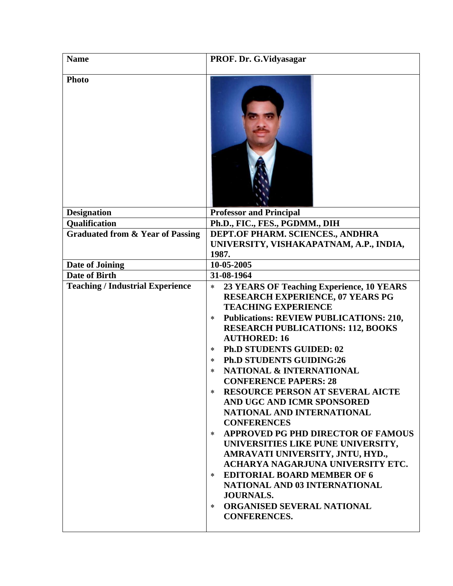| <b>Name</b>                                 | PROF. Dr. G. Vidyasagar                                                                                                                                                                                                                                                                                                                                                                                                                                                                                                                                                                                                                                                                                                                                                                                                                                                                                     |
|---------------------------------------------|-------------------------------------------------------------------------------------------------------------------------------------------------------------------------------------------------------------------------------------------------------------------------------------------------------------------------------------------------------------------------------------------------------------------------------------------------------------------------------------------------------------------------------------------------------------------------------------------------------------------------------------------------------------------------------------------------------------------------------------------------------------------------------------------------------------------------------------------------------------------------------------------------------------|
| <b>Photo</b>                                |                                                                                                                                                                                                                                                                                                                                                                                                                                                                                                                                                                                                                                                                                                                                                                                                                                                                                                             |
| <b>Designation</b>                          | <b>Professor and Principal</b>                                                                                                                                                                                                                                                                                                                                                                                                                                                                                                                                                                                                                                                                                                                                                                                                                                                                              |
| <b>Qualification</b>                        | Ph.D., FIC., FES., PGDMM., DIH                                                                                                                                                                                                                                                                                                                                                                                                                                                                                                                                                                                                                                                                                                                                                                                                                                                                              |
| <b>Graduated from &amp; Year of Passing</b> | DEPT.OF PHARM. SCIENCES., ANDHRA<br>UNIVERSITY, VISHAKAPATNAM, A.P., INDIA,<br>1987.                                                                                                                                                                                                                                                                                                                                                                                                                                                                                                                                                                                                                                                                                                                                                                                                                        |
| Date of Joining                             | 10-05-2005                                                                                                                                                                                                                                                                                                                                                                                                                                                                                                                                                                                                                                                                                                                                                                                                                                                                                                  |
| Date of Birth                               | 31-08-1964                                                                                                                                                                                                                                                                                                                                                                                                                                                                                                                                                                                                                                                                                                                                                                                                                                                                                                  |
| <b>Teaching / Industrial Experience</b>     | 23 YEARS OF Teaching Experience, 10 YEARS<br>$\ast$<br><b>RESEARCH EXPERIENCE, 07 YEARS PG</b><br><b>TEACHING EXPERIENCE</b><br><b>Publications: REVIEW PUBLICATIONS: 210,</b><br>$\ast$<br><b>RESEARCH PUBLICATIONS: 112, BOOKS</b><br><b>AUTHORED: 16</b><br><b>Ph.D STUDENTS GUIDED: 02</b><br>$\ast$<br><b>Ph.D STUDENTS GUIDING:26</b><br>$\ast$<br><b>NATIONAL &amp; INTERNATIONAL</b><br>*<br><b>CONFERENCE PAPERS: 28</b><br><b>RESOURCE PERSON AT SEVERAL AICTE</b><br>$\ast$<br>AND UGC AND ICMR SPONSORED<br>NATIONAL AND INTERNATIONAL<br><b>CONFERENCES</b><br>APPROVED PG PHD DIRECTOR OF FAMOUS<br>$\ast$<br>UNIVERSITIES LIKE PUNE UNIVERSITY,<br>AMRAVATI UNIVERSITY, JNTU, HYD.,<br>ACHARYA NAGARJUNA UNIVERSITY ETC.<br><b>EDITORIAL BOARD MEMBER OF 6</b><br>$\ast$<br>NATIONAL AND 03 INTERNATIONAL<br><b>JOURNALS.</b><br>ORGANISED SEVERAL NATIONAL<br>$\ast$<br><b>CONFERENCES.</b> |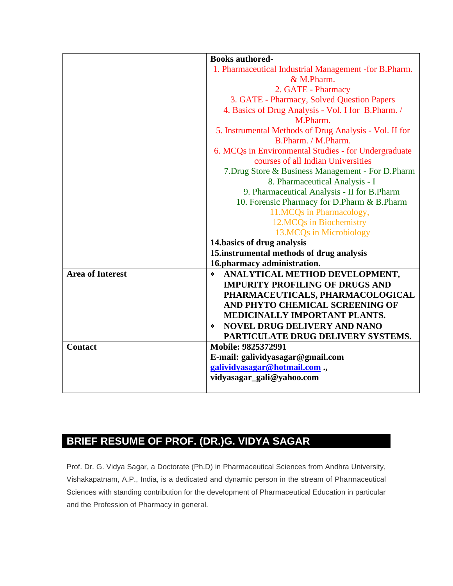|                         | <b>Books authored-</b>                                                                     |
|-------------------------|--------------------------------------------------------------------------------------------|
|                         | 1. Pharmaceutical Industrial Management -for B. Pharm.                                     |
|                         | & M.Pharm.                                                                                 |
|                         | 2. GATE - Pharmacy                                                                         |
|                         | 3. GATE - Pharmacy, Solved Question Papers                                                 |
|                         | 4. Basics of Drug Analysis - Vol. I for B.Pharm. /                                         |
|                         | M.Pharm.                                                                                   |
|                         | 5. Instrumental Methods of Drug Analysis - Vol. II for<br>B.Pharm. / M.Pharm.              |
|                         | 6. MCQs in Environmental Studies - for Undergraduate<br>courses of all Indian Universities |
|                         | 7. Drug Store & Business Management - For D. Pharm                                         |
|                         | 8. Pharmaceutical Analysis - I                                                             |
|                         | 9. Pharmaceutical Analysis - II for B. Pharm                                               |
|                         | 10. Forensic Pharmacy for D.Pharm & B.Pharm                                                |
|                         | 11.MCQs in Pharmacology,                                                                   |
|                         | 12.MCQs in Biochemistry                                                                    |
|                         | 13.MCQs in Microbiology                                                                    |
|                         | 14. basics of drug analysis                                                                |
|                         | 15.instrumental methods of drug analysis                                                   |
|                         | 16.pharmacy administration.                                                                |
| <b>Area of Interest</b> | ANALYTICAL METHOD DEVELOPMENT,<br>$\ast$                                                   |
|                         | <b>IMPURITY PROFILING OF DRUGS AND</b>                                                     |
|                         | PHARMACEUTICALS, PHARMACOLOGICAL                                                           |
|                         | AND PHYTO CHEMICAL SCREENING OF                                                            |
|                         | MEDICINALLY IMPORTANT PLANTS.                                                              |
|                         | <b>NOVEL DRUG DELIVERY AND NANO</b><br>$\ast$                                              |
|                         | PARTICULATE DRUG DELIVERY SYSTEMS.                                                         |
| <b>Contact</b>          | Mobile: 9825372991                                                                         |
|                         | E-mail: galividyasagar@gmail.com                                                           |
|                         | galividyasagar@hotmail.com.,                                                               |
|                         | vidyasagar_gali@yahoo.com                                                                  |
|                         |                                                                                            |

## **BRIEF RESUME OF PROF. (DR.)G. VIDYA SAGAR**

Prof. Dr. G. Vidya Sagar, a Doctorate (Ph.D) in Pharmaceutical Sciences from Andhra University, Vishakapatnam, A.P., India, is a dedicated and dynamic person in the stream of Pharmaceutical Sciences with standing contribution for the development of Pharmaceutical Education in particular and the Profession of Pharmacy in general.